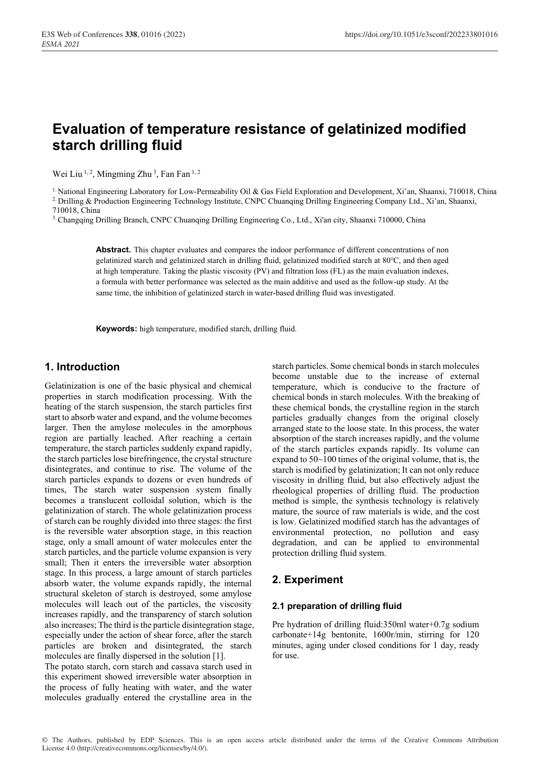# **Evaluation of temperature resistance of gelatinized modified starch drilling fluid**

Wei Liu<sup>1, 2</sup>, Mingming Zhu<sup>3</sup>, Fan Fan<sup>1, 2</sup>

<sup>1.</sup> National Engineering Laboratory for Low-Permeability Oil & Gas Field Exploration and Development, Xi'an, Shaanxi, 710018, China <sup>2.</sup> Drilling & Production Engineering Technology Institute, CNPC Chuanqing Drilling Engi 710018, China

3. Changqing Drilling Branch, CNPC Chuanqing Drilling Engineering Co., Ltd., Xi'an city, Shaanxi 710000, China

**Abstract.** This chapter evaluates and compares the indoor performance of different concentrations of non gelatinized starch and gelatinized starch in drilling fluid, gelatinized modified starch at 80℃, and then aged at high temperature. Taking the plastic viscosity (PV) and filtration loss (FL) as the main evaluation indexes, a formula with better performance was selected as the main additive and used as the follow-up study. At the same time, the inhibition of gelatinized starch in water-based drilling fluid was investigated.

**Keywords:** high temperature, modified starch, drilling fluid.

### **1. Introduction**

Gelatinization is one of the basic physical and chemical properties in starch modification processing. With the heating of the starch suspension, the starch particles first start to absorb water and expand, and the volume becomes larger. Then the amylose molecules in the amorphous region are partially leached. After reaching a certain temperature, the starch particles suddenly expand rapidly, the starch particles lose birefringence, the crystal structure disintegrates, and continue to rise. The volume of the starch particles expands to dozens or even hundreds of times, The starch water suspension system finally becomes a translucent colloidal solution, which is the gelatinization of starch. The whole gelatinization process of starch can be roughly divided into three stages: the first is the reversible water absorption stage, in this reaction stage, only a small amount of water molecules enter the starch particles, and the particle volume expansion is very small; Then it enters the irreversible water absorption stage. In this process, a large amount of starch particles absorb water, the volume expands rapidly, the internal structural skeleton of starch is destroyed, some amylose molecules will leach out of the particles, the viscosity increases rapidly, and the transparency of starch solution also increases; The third is the particle disintegration stage, especially under the action of shear force, after the starch particles are broken and disintegrated, the starch molecules are finally dispersed in the solution [1].

The potato starch, corn starch and cassava starch used in this experiment showed irreversible water absorption in the process of fully heating with water, and the water molecules gradually entered the crystalline area in the

starch particles. Some chemical bonds in starch molecules become unstable due to the increase of external temperature, which is conducive to the fracture of chemical bonds in starch molecules. With the breaking of these chemical bonds, the crystalline region in the starch particles gradually changes from the original closely arranged state to the loose state. In this process, the water absorption of the starch increases rapidly, and the volume of the starch particles expands rapidly. Its volume can expand to 50~100 times of the original volume, that is, the starch is modified by gelatinization; It can not only reduce viscosity in drilling fluid, but also effectively adjust the rheological properties of drilling fluid. The production method is simple, the synthesis technology is relatively mature, the source of raw materials is wide, and the cost is low. Gelatinized modified starch has the advantages of environmental protection, no pollution and easy degradation, and can be applied to environmental protection drilling fluid system.

### **2. Experiment**

### **2.1 preparation of drilling fluid**

Pre hydration of drilling fluid:350ml water+0.7g sodium carbonate+14g bentonite, 1600r/min, stirring for 120 minutes, aging under closed conditions for 1 day, ready for use.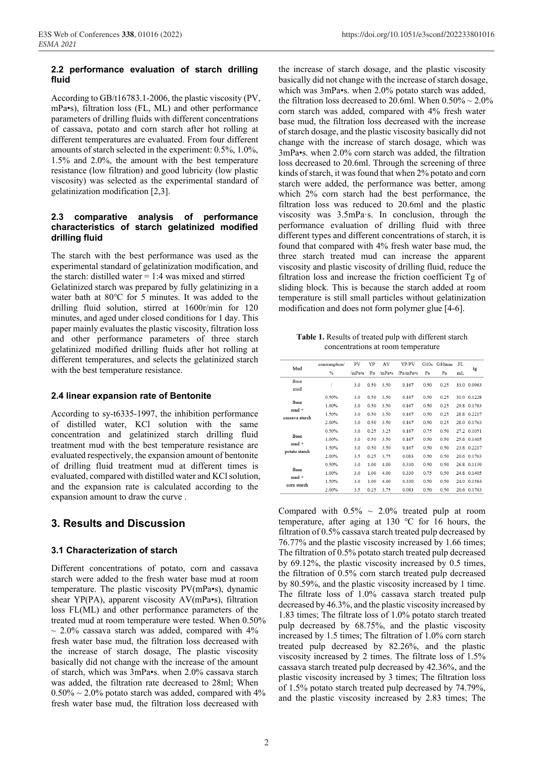#### **2.2 performance evaluation of starch drilling fluid**

According to GB/t16783.1-2006, the plastic viscosity (PV, mPa•s), filtration loss (FL, ML) and other performance parameters of drilling fluids with different concentrations of cassava, potato and corn starch after hot rolling at different temperatures are evaluated. From four different amounts of starch selected in the experiment: 0.5%, 1.0%, 1.5% and 2.0%, the amount with the best temperature resistance (low filtration) and good lubricity (low plastic viscosity) was selected as the experimental standard of gelatinization modification [2,3].

### **2.3 comparative analysis of performance characteristics of starch gelatinized modified drilling fluid**

The starch with the best performance was used as the experimental standard of gelatinization modification, and the starch: distilled water = 1:4 was mixed and stirred

Gelatinized starch was prepared by fully gelatinizing in a water bath at 80℃ for 5 minutes. It was added to the drilling fluid solution, stirred at 1600r/min for 120 minutes, and aged under closed conditions for 1 day. This paper mainly evaluates the plastic viscosity, filtration loss and other performance parameters of three starch gelatinized modified drilling fluids after hot rolling at different temperatures, and selects the gelatinized starch with the best temperature resistance.

### **2.4 linear expansion rate of Bentonite**

According to sy-t6335-1997, the inhibition performance of distilled water, KCl solution with the same concentration and gelatinized starch drilling fluid treatment mud with the best temperature resistance are evaluated respectively, the expansion amount of bentonite of drilling fluid treatment mud at different times is evaluated, compared with distilled water and KCl solution, and the expansion rate is calculated according to the expansion amount to draw the curve .

### **3. Results and Discussion**

### **3.1 Characterization of starch**

Different concentrations of potato, corn and cassava starch were added to the fresh water base mud at room temperature. The plastic viscosity PV(mPa•s), dynamic shear YP(PA), apparent viscosity AV(mPa•s), filtration loss FL(ML) and other performance parameters of the treated mud at room temperature were tested. When 0.50%  $\sim$  2.0% cassava starch was added, compared with 4% fresh water base mud, the filtration loss decreased with the increase of starch dosage, The plastic viscosity basically did not change with the increase of the amount of starch, which was 3mPa•s. when 2.0% cassava starch was added, the filtration rate decreased to 28ml; When  $0.50\% \sim 2.0\%$  potato starch was added, compared with 4% fresh water base mud, the filtration loss decreased with

the increase of starch dosage, and the plastic viscosity basically did not change with the increase of starch dosage, which was 3mPa•s. when 2.0% potato starch was added, the filtration loss decreased to 20.6ml. When  $0.50\% \sim 2.0\%$ corn starch was added, compared with 4% fresh water base mud, the filtration loss decreased with the increase of starch dosage, and the plastic viscosity basically did not change with the increase of starch dosage, which was 3mPa•s. when 2.0% corn starch was added, the filtration loss decreased to 20.6ml. Through the screening of three kinds of starch, it was found that when 2% potato and corn starch were added, the performance was better, among which 2% corn starch had the best performance, the filtration loss was reduced to 20.6ml and the plastic viscosity was 3.5mPaꞏs. In conclusion, through the performance evaluation of drilling fluid with three different types and different concentrations of starch, it is found that compared with 4% fresh water base mud, the three starch treated mud can increase the apparent viscosity and plastic viscosity of drilling fluid, reduce the filtration loss and increase the friction coefficient Tg of sliding block. This is because the starch added at room temperature is still small particles without gelatinization modification and does not form polymer glue [4-6].

**Table 1.** Results of treated pulp with different starch concentrations at room temperature

| Mud                                                                | consumption/   | PV         | YP              | AV           | YP/PV          | G10s         | G10min       | FL   |                            |
|--------------------------------------------------------------------|----------------|------------|-----------------|--------------|----------------|--------------|--------------|------|----------------------------|
|                                                                    | $\%$           | /mPa•s     | /P <sub>a</sub> | $/m$ Pa•s    | /Pa/mPa•s      | Pa           | Pa           | mL   | tg                         |
| Base<br>mud                                                        |                | 3.0        | 0.50            | 3.50         | 0.167          | 0.50         | 0.25         |      | 33.0 0.0963                |
| <b>Base</b><br>$mud +$<br>cassava starch                           | 0.50%<br>1.00% | 3.0<br>3.0 | 0.50<br>0.50    | 3.50<br>3.50 | 0.167<br>0.167 | 0.50<br>0.50 | 0.25<br>0.25 |      | 31.0 0.1228<br>29.8 0.1763 |
|                                                                    | 1.50%          | 3.0        | 0.50            | 3.50         | 0.167          | 0.50         | 0.25         |      | 28.8 0.2217                |
| Base<br>$mud +$<br>potato starch<br>Base<br>$mud +$<br>corn starch | 2.00%<br>0.50% | 3.0<br>3.0 | 0.50<br>0.25    | 3.50<br>3.25 | 0.167<br>0.167 | 0.50<br>0.75 | 0.25<br>0.50 | 28.0 | 0.1763<br>27.2 0.1051      |
|                                                                    | 1.00%<br>1.50% | 3.0<br>3.0 | 0.50<br>0.50    | 3.50<br>3.50 | 0.167<br>0.167 | 0.50<br>0.50 | 0.50<br>0.50 | 23.8 | 25.6 0.1405<br>0.2217      |
|                                                                    | 2.00%<br>0.50% | 3.5<br>3.0 | 0.25<br>1.00    | 3.75<br>4.00 | 0.083<br>0.330 | 0.50<br>0.50 | 0.50<br>0.50 |      | 20.6 0.1763<br>26.8 0.1139 |
|                                                                    | 1.00%          | 3.0        | 1.00            | 4.00         | 0.330          | 0.75         | 0.50         |      | 24.8 0.1405                |
|                                                                    | 1.50%<br>2.00% | 3.0<br>3.5 | 1.00<br>0.25    | 4.00<br>3.75 | 0.330<br>0.083 | 0.50<br>0.50 | 0.50<br>0.50 | 24.0 | 0.1584<br>20.6 0.1763      |

Compared with  $0.5\% \sim 2.0\%$  treated pulp at room temperature, after aging at 130 ℃ for 16 hours, the filtration of 0.5% cassava starch treated pulp decreased by 76.77% and the plastic viscosity increased by 1.66 times; The filtration of 0.5% potato starch treated pulp decreased by 69.12%, the plastic viscosity increased by 0.5 times, the filtration of 0.5% corn starch treated pulp decreased by 80.59%, and the plastic viscosity increased by 1 time. The filtrate loss of 1.0% cassava starch treated pulp decreased by 46.3%, and the plastic viscosity increased by 1.83 times; The filtrate loss of 1.0% potato starch treated pulp decreased by 68.75%, and the plastic viscosity increased by 1.5 times; The filtration of 1.0% corn starch treated pulp decreased by 82.26%, and the plastic viscosity increased by 2 times. The filtrate loss of 1.5% cassava starch treated pulp decreased by 42.36%, and the plastic viscosity increased by 3 times; The filtration loss of 1.5% potato starch treated pulp decreased by 74.79%, and the plastic viscosity increased by 2.83 times; The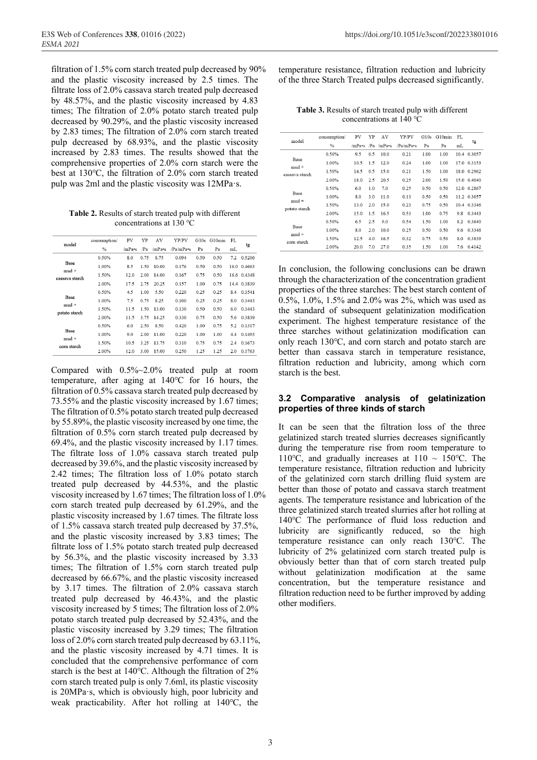filtration of 1.5% corn starch treated pulp decreased by 90% and the plastic viscosity increased by 2.5 times. The filtrate loss of 2.0% cassava starch treated pulp decreased by 48.57%, and the plastic viscosity increased by 4.83 times; The filtration of 2.0% potato starch treated pulp decreased by 90.29%, and the plastic viscosity increased by 2.83 times; The filtration of 2.0% corn starch treated pulp decreased by 68.93%, and the plastic viscosity increased by 2.83 times. The results showed that the comprehensive properties of 2.0% corn starch were the best at 130℃, the filtration of 2.0% corn starch treated pulp was 2ml and the plastic viscosity was 12MPa $\cdot$ s.

**Table 2.** Results of starch treated pulp with different concentrations at 130 ℃

|                                | consumption/ | PV     | YP   | AV        | YP/PV    | G10s | G10min | FL   |             |
|--------------------------------|--------------|--------|------|-----------|----------|------|--------|------|-------------|
| model                          | $\%$         | /mPa•s | /Pa  | $/m$ Pa•s | Pa/mPa•s | Pa   | Pa     | mL   | tg          |
|                                | 0.50%        | 8.0    | 0.75 | 8.75      | 0.094    | 0.50 | 0.50   | 7.2  | 0.5206      |
| Base                           | 1.00%        | 8.5    | 1.50 | 10.00     | 0.176    | 0.50 | 0.50   | 16.0 | 0.4663      |
| $mud +$<br>cassava starch      | 1.50%        | 12.0   | 2.00 | 14.00     | 0.167    | 0.75 | 0.50   |      | 16.6 0.4348 |
|                                | 2.00%        | 17.5   | 2.75 | 20.25     | 0.157    | 1.00 | 0.75   | 14.4 | 0.3839      |
| Base<br>$mud +$                | 0.50%        | 4.5    | 1.00 | 5.50      | 0.220    | 0.25 | 0.25   | 8.4  | 0.3541      |
|                                | 1.00%        | 7.5    | 0.75 | 8.25      | 0.100    | 0.25 | 0.25   | 8.0  | 0.3443      |
| potato starch                  | 1.50%        | 11.5   | 1.50 | 13.00     | 0.130    | 0.50 | 0.50   | 6.0  | 0.3443      |
|                                | 2.00%        | 11.5   | 3.75 | 14.25     | 0.330    | 0.75 | 0.50   | 5.6  | 0.3839      |
|                                | 0.50%        | 6.0    | 2.50 | 8.50      | 0.420    | 1.00 | 0.75   | 5.2  | 0.1317      |
| Base<br>$mud +$<br>corn starch | 1.00%        | 9.0    | 2.00 | 11.00     | 0.220    | 1.00 | 1.00   | 4.4  | 0.1493      |
|                                | 1.50%        | 10.5   | 3.25 | 13.75     | 0.310    | 0.75 | 0.75   | 2.4  | 0.1673      |
|                                | 2.00%        | 12.0   | 3.00 | 15.00     | 0.250    | 1.25 | 1.25   | 2.0  | 0.1763      |

Compared with 0.5%~2.0% treated pulp at room temperature, after aging at 140℃ for 16 hours, the filtration of 0.5% cassava starch treated pulp decreased by 73.55% and the plastic viscosity increased by 1.67 times; The filtration of 0.5% potato starch treated pulp decreased by 55.89%, the plastic viscosity increased by one time, the filtration of 0.5% corn starch treated pulp decreased by 69.4%, and the plastic viscosity increased by 1.17 times. The filtrate loss of 1.0% cassava starch treated pulp decreased by 39.6%, and the plastic viscosity increased by 2.42 times; The filtration loss of 1.0% potato starch treated pulp decreased by 44.53%, and the plastic viscosity increased by 1.67 times; The filtration loss of 1.0% corn starch treated pulp decreased by 61.29%, and the plastic viscosity increased by 1.67 times. The filtrate loss of 1.5% cassava starch treated pulp decreased by 37.5%, and the plastic viscosity increased by 3.83 times; The filtrate loss of 1.5% potato starch treated pulp decreased by 56.3%, and the plastic viscosity increased by 3.33 times; The filtration of 1.5% corn starch treated pulp decreased by 66.67%, and the plastic viscosity increased by 3.17 times. The filtration of 2.0% cassava starch treated pulp decreased by 46.43%, and the plastic viscosity increased by 5 times; The filtration loss of 2.0% potato starch treated pulp decreased by 52.43%, and the plastic viscosity increased by 3.29 times; The filtration loss of 2.0% corn starch treated pulp decreased by 63.11%, and the plastic viscosity increased by 4.71 times. It is concluded that the comprehensive performance of corn starch is the best at 140℃. Although the filtration of 2% corn starch treated pulp is only 7.6ml, its plastic viscosity is 20MPaꞏs, which is obviously high, poor lubricity and weak practicability. After hot rolling at 140℃, the

temperature resistance, filtration reduction and lubricity of the three Starch Treated pulps decreased significantly.

**Table 3.** Results of starch treated pulp with different concentrations at 140 ℃

| model           | consumption/ | PV     | YP              | AV        | YP/PV     | G10s | G10min | FL  | tg          |
|-----------------|--------------|--------|-----------------|-----------|-----------|------|--------|-----|-------------|
|                 | $\%$         | /mPa•s | /P <sub>a</sub> | $/m$ Pa•s | /Pa/mPa•s | Pa   | Pa     | mL  |             |
|                 | 0.50%        | 9.5    | 0.5             | 10.0      | 0.21      | 1.00 | 1.00   |     | 10.4 0.3057 |
| Base<br>$mud +$ | 1.00%        | 10.5   | 1.5             | 12.0      | 0.24      | 1.00 | 1.00   |     | 17.0 0.3153 |
| cassava starch  | 1.50%        | 14.5   | 0.5             | 15.0      | 0.21      | 1.50 | 1.00   |     | 18.0 0.2962 |
|                 | 2.00%        | 18.0   | 2.5             | 20.5      | 0.25      | 2.00 | 1.50   |     | 15.0 0.4040 |
|                 | 0.50%        | 6.0    | 1.0             | 7.0       | 0.25      | 0.50 | 0.50   |     | 12.0 0.2867 |
| Base<br>$mud +$ | 1.00%        | 8.0    | 3.0             | 11.0      | 0.13      | 0.50 | 0.50   |     | 11.2 0.3057 |
| potato starch   | 1.50%        | 13.0   | 2.0             | 15.0      | 0.23      | 0.75 | 0.50   |     | 10.4 0.3346 |
|                 | 2.00%        | 15.0   | 1.5             | 16.5      | 0.53      | 1.00 | 0.75   | 9.8 | 0.3443      |
|                 | 0.50%        | 6.5    | 2.5             | 9.0       | 0.54      | 1.50 | 1.00   | 8.2 | 0.3640      |
| Base<br>$mud +$ | 1.00%        | 8.0    | 2.0             | 10.0      | 0.25      | 0.50 | 0.50   | 9.6 | 0.3346      |
| corn starch     | 1.50%        | 12.5   | 4.0             | 16.5      | 0.32      | 0.75 | 0.50   | 8.0 | 0.3839      |
|                 | 2.00%        | 20.0   | 7.0             | 27.0      | 0.35      | 1.50 | 1.00   | 7.6 | 0.4142      |

In conclusion, the following conclusions can be drawn through the characterization of the concentration gradient properties of the three starches: The best starch content of 0.5%, 1.0%, 1.5% and 2.0% was 2%, which was used as the standard of subsequent gelatinization modification experiment. The highest temperature resistance of the three starches without gelatinization modification can only reach 130℃, and corn starch and potato starch are better than cassava starch in temperature resistance, filtration reduction and lubricity, among which corn starch is the best.

### **3.2 Comparative analysis of gelatinization properties of three kinds of starch**

It can be seen that the filtration loss of the three gelatinized starch treated slurries decreases significantly during the temperature rise from room temperature to 110 °C, and gradually increases at  $110 \sim 150$  °C. The temperature resistance, filtration reduction and lubricity of the gelatinized corn starch drilling fluid system are better than those of potato and cassava starch treatment agents. The temperature resistance and lubrication of the three gelatinized starch treated slurries after hot rolling at 140℃ The performance of fluid loss reduction and lubricity are significantly reduced, so the high temperature resistance can only reach 130℃. The lubricity of 2% gelatinized corn starch treated pulp is obviously better than that of corn starch treated pulp without gelatinization modification at the same concentration, but the temperature resistance and filtration reduction need to be further improved by adding other modifiers.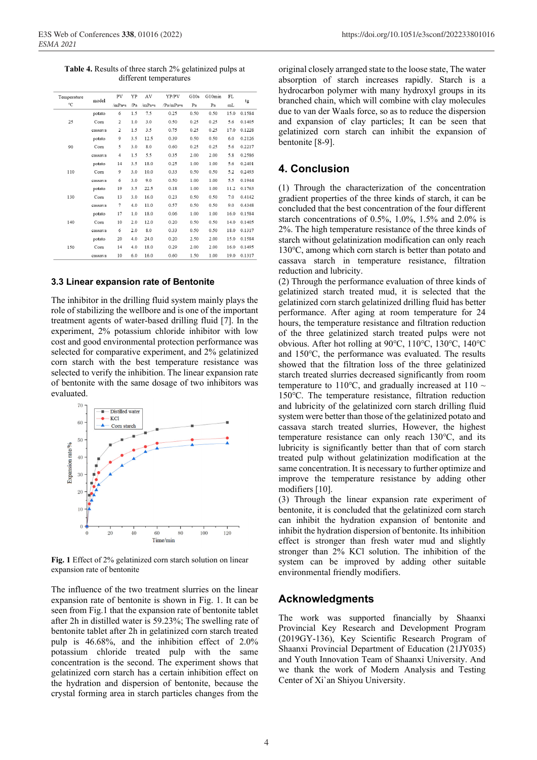**Table 4.** Results of three starch 2% gelatinized pulps at different temperatures

| Temperature | model   | PV             | YP  | AV     | YP/PV     | G10s | G10min | FL   | tg     |
|-------------|---------|----------------|-----|--------|-----------|------|--------|------|--------|
| °C          |         | /mPa•s         | /Pa | /mPa•s | /Pa/mPa•s | Pa   | Pa     | mL   |        |
|             | potato  | 6              | 1.5 | 7.5    | 0.25      | 0.50 | 0.50   | 15.0 | 0.1584 |
| 25          | Corn    | $\overline{2}$ | 1.0 | 3.0    | 0.50      | 0.25 | 0.25   | 5.6  | 0.1405 |
|             | cassava | 2              | 1.5 | 3.5    | 0.75      | 0.25 | 0.25   | 17.0 | 0.1228 |
|             | potato  | 9              | 3.5 | 12.5   | 0.39      | 0.50 | 0.50   | 6.0  | 0.2126 |
| 90          | Corn    | 5              | 3.0 | 8.0    | 0.60      | 0.25 | 0.25   | 5.6  | 0.2217 |
|             | cassava | $\overline{4}$ | 1.5 | 5.5    | 0.35      | 2.00 | 2.00   | 5.8  | 0.2586 |
|             | potato  | 14             | 3.5 | 18.0   | 0.25      | 1.00 | 1.00   | 5.6  | 0.2401 |
| 110         | Corn    | 9              | 3.0 | 10.0   | 0.33      | 0.50 | 0.50   | 5.2  | 0.2493 |
|             | cassava | 6              | 3.0 | 9.0    | 0.50      | 1.00 | 1.00   | 5.5  | 0.1944 |
|             | potato  | 19             | 3.5 | 22.5   | 0.18      | 1.00 | 1.00   | 11.2 | 0.1763 |
| 130         | Corn    | 13             | 3.0 | 16.0   | 0.23      | 0.50 | 0.50   | 7.0  | 0.4142 |
|             | cassava | 7              | 4.0 | 11.0   | 0.57      | 0.50 | 0.50   | 9.0  | 0.4348 |
|             | potato  | 17             | 1.0 | 18.0   | 0.06      | 1.00 | 1.00   | 16.0 | 0.1584 |
| 140         | Corn    | 10             | 2.0 | 12.0   | 0.20      | 0.50 | 0.50   | 14.0 | 0.1405 |
|             | cassava | 6              | 2.0 | 8.0    | 0.33      | 0.50 | 0.50   | 18.0 | 0.1317 |
|             | potato  | 20             | 4.0 | 24.0   | 0.20      | 2.50 | 2.00   | 15.0 | 0.1584 |
| 150         | Corn    | 14             | 4.0 | 18.0   | 0.29      | 2.00 | 2.00   | 16.0 | 0.1495 |
|             | cassava | 10             | 6.0 | 16.0   | 0.60      | 1.50 | 1.00   | 19.0 | 0.1317 |

#### **3.3 Linear expansion rate of Bentonite**

The inhibitor in the drilling fluid system mainly plays the role of stabilizing the wellbore and is one of the important treatment agents of water-based drilling fluid [7]. In the experiment, 2% potassium chloride inhibitor with low cost and good environmental protection performance was selected for comparative experiment, and 2% gelatinized corn starch with the best temperature resistance was selected to verify the inhibition. The linear expansion rate of bentonite with the same dosage of two inhibitors was evaluated.



**Fig. 1** Effect of 2% gelatinized corn starch solution on linear expansion rate of bentonite

The influence of the two treatment slurries on the linear expansion rate of bentonite is shown in Fig. 1. It can be seen from Fig.1 that the expansion rate of bentonite tablet after 2h in distilled water is 59.23%; The swelling rate of bentonite tablet after 2h in gelatinized corn starch treated pulp is 46.68%, and the inhibition effect of 2.0% potassium chloride treated pulp with the same concentration is the second. The experiment shows that gelatinized corn starch has a certain inhibition effect on the hydration and dispersion of bentonite, because the crystal forming area in starch particles changes from the

original closely arranged state to the loose state, The water absorption of starch increases rapidly. Starch is a hydrocarbon polymer with many hydroxyl groups in its branched chain, which will combine with clay molecules due to van der Waals force, so as to reduce the dispersion and expansion of clay particles; It can be seen that gelatinized corn starch can inhibit the expansion of bentonite [8-9].

### **4. Conclusion**

(1) Through the characterization of the concentration gradient properties of the three kinds of starch, it can be concluded that the best concentration of the four different starch concentrations of 0.5%, 1.0%, 1.5% and 2.0% is 2%. The high temperature resistance of the three kinds of starch without gelatinization modification can only reach 130℃, among which corn starch is better than potato and cassava starch in temperature resistance, filtration reduction and lubricity.

(2) Through the performance evaluation of three kinds of gelatinized starch treated mud, it is selected that the gelatinized corn starch gelatinized drilling fluid has better performance. After aging at room temperature for 24 hours, the temperature resistance and filtration reduction of the three gelatinized starch treated pulps were not obvious. After hot rolling at 90℃, 110℃, 130℃, 140℃ and 150℃, the performance was evaluated. The results showed that the filtration loss of the three gelatinized starch treated slurries decreased significantly from room temperature to 110°C, and gradually increased at 110  $\sim$ 150℃. The temperature resistance, filtration reduction and lubricity of the gelatinized corn starch drilling fluid system were better than those of the gelatinized potato and cassava starch treated slurries, However, the highest temperature resistance can only reach 130℃, and its lubricity is significantly better than that of corn starch treated pulp without gelatinization modification at the same concentration. It is necessary to further optimize and improve the temperature resistance by adding other modifiers [10].

(3) Through the linear expansion rate experiment of bentonite, it is concluded that the gelatinized corn starch can inhibit the hydration expansion of bentonite and inhibit the hydration dispersion of bentonite. Its inhibition effect is stronger than fresh water mud and slightly stronger than 2% KCl solution. The inhibition of the system can be improved by adding other suitable environmental friendly modifiers.

### **Acknowledgments**

The work was supported financially by Shaanxi Provincial Key Research and Development Program (2019GY-136), Key Scientific Research Program of Shaanxi Provincial Department of Education (21JY035) and Youth Innovation Team of Shaanxi University. And we thank the work of Modern Analysis and Testing Center of Xi`an Shiyou University.